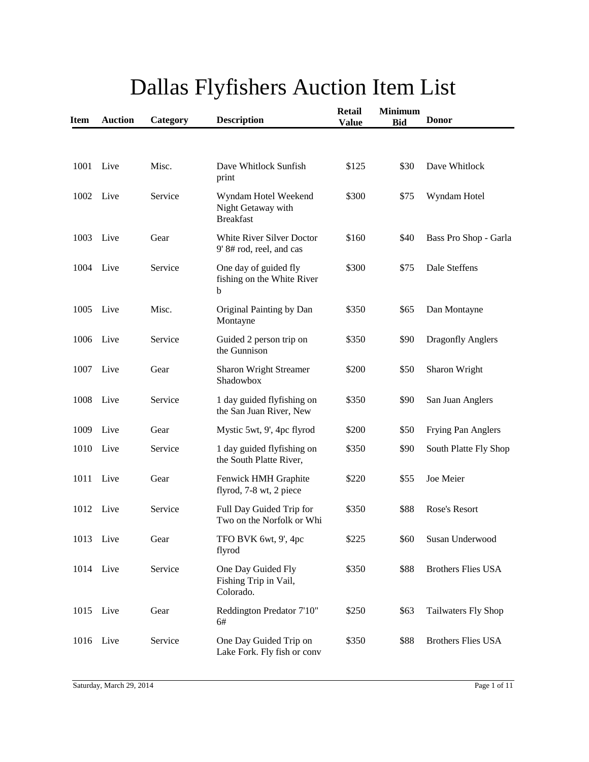| <b>Item</b> | <b>Auction</b> | Category | <b>Description</b>                                             | <b>Retail</b><br><b>Value</b> | <b>Minimum</b><br><b>Bid</b> | <b>Donor</b>              |
|-------------|----------------|----------|----------------------------------------------------------------|-------------------------------|------------------------------|---------------------------|
|             |                |          |                                                                |                               |                              |                           |
| 1001        | Live           | Misc.    | Dave Whitlock Sunfish<br>print                                 | \$125                         | \$30                         | Dave Whitlock             |
| 1002        | Live           | Service  | Wyndam Hotel Weekend<br>Night Getaway with<br><b>Breakfast</b> | \$300                         | \$75                         | Wyndam Hotel              |
| 1003        | Live           | Gear     | <b>White River Silver Doctor</b><br>9' 8# rod, reel, and cas   | \$160                         | \$40                         | Bass Pro Shop - Garla     |
| 1004        | Live           | Service  | One day of guided fly<br>fishing on the White River<br>b       | \$300                         | \$75                         | Dale Steffens             |
| 1005        | Live           | Misc.    | Original Painting by Dan<br>Montayne                           | \$350                         | \$65                         | Dan Montayne              |
| 1006        | Live           | Service  | Guided 2 person trip on<br>the Gunnison                        | \$350                         | \$90                         | <b>Dragonfly Anglers</b>  |
| 1007        | Live           | Gear     | <b>Sharon Wright Streamer</b><br>Shadowbox                     | \$200                         | \$50                         | Sharon Wright             |
| 1008        | Live           | Service  | 1 day guided flyfishing on<br>the San Juan River, New          | \$350                         | \$90                         | San Juan Anglers          |
| 1009        | Live           | Gear     | Mystic 5wt, 9', 4pc flyrod                                     | \$200                         | \$50                         | Frying Pan Anglers        |
| 1010        | Live           | Service  | 1 day guided flyfishing on<br>the South Platte River,          | \$350                         | \$90                         | South Platte Fly Shop     |
| 1011        | Live           | Gear     | Fenwick HMH Graphite<br>flyrod, 7-8 wt, 2 piece                | \$220                         | \$55                         | Joe Meier                 |
| 1012        | Live           | Service  | Full Day Guided Trip for<br>Two on the Norfolk or Whi          | \$350                         | \$88                         | Rose's Resort             |
| 1013 Live   |                | Gear     | TFO BVK 6wt, 9', 4pc<br>flyrod                                 | \$225                         | \$60                         | Susan Underwood           |
| 1014 Live   |                | Service  | One Day Guided Fly<br>Fishing Trip in Vail,<br>Colorado.       | \$350                         | \$88                         | <b>Brothers Flies USA</b> |
| 1015        | Live           | Gear     | Reddington Predator 7'10"<br>6#                                | \$250                         | \$63                         | Tailwaters Fly Shop       |
| 1016 Live   |                | Service  | One Day Guided Trip on<br>Lake Fork. Fly fish or conv          | \$350                         | \$88                         | <b>Brothers Flies USA</b> |

## Dallas Flyfishers Auction Item List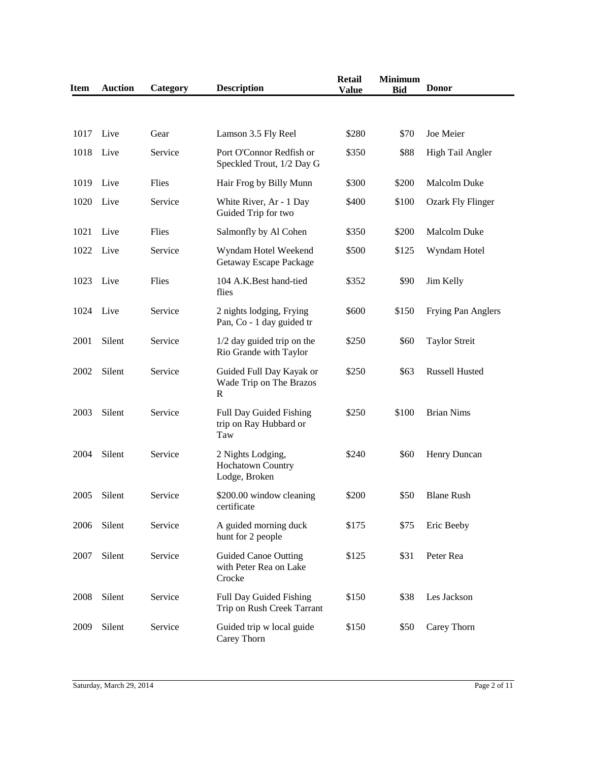| <b>Item</b> | <b>Auction</b> | Category | <b>Description</b>                                              | <b>Retail</b><br><b>Value</b> | <b>Minimum</b><br><b>Bid</b> | <b>Donor</b>             |
|-------------|----------------|----------|-----------------------------------------------------------------|-------------------------------|------------------------------|--------------------------|
|             |                |          |                                                                 |                               |                              |                          |
| 1017        | Live           | Gear     | Lamson 3.5 Fly Reel                                             | \$280                         | \$70                         | Joe Meier                |
| 1018        | Live           | Service  | Port O'Connor Redfish or<br>Speckled Trout, 1/2 Day G           | \$350                         | \$88                         | High Tail Angler         |
| 1019        | Live           | Flies    | Hair Frog by Billy Munn                                         | \$300                         | \$200                        | <b>Malcolm Duke</b>      |
| 1020        | Live           | Service  | White River, Ar - 1 Day<br>Guided Trip for two                  | \$400                         | \$100                        | <b>Ozark Fly Flinger</b> |
| 1021        | Live           | Flies    | Salmonfly by Al Cohen                                           | \$350                         | \$200                        | <b>Malcolm Duke</b>      |
| 1022        | Live           | Service  | Wyndam Hotel Weekend<br>Getaway Escape Package                  | \$500                         | \$125                        | Wyndam Hotel             |
| 1023        | Live           | Flies    | 104 A.K. Best hand-tied<br>flies                                | \$352                         | \$90                         | Jim Kelly                |
| 1024        | Live           | Service  | 2 nights lodging, Frying<br>Pan, Co - 1 day guided tr           | \$600                         | \$150                        | Frying Pan Anglers       |
| 2001        | Silent         | Service  | $1/2$ day guided trip on the<br>Rio Grande with Taylor          | \$250                         | \$60                         | <b>Taylor Streit</b>     |
| 2002        | Silent         | Service  | Guided Full Day Kayak or<br>Wade Trip on The Brazos<br>R        | \$250                         | \$63                         | <b>Russell Husted</b>    |
| 2003        | Silent         | Service  | Full Day Guided Fishing<br>trip on Ray Hubbard or<br>Taw        | \$250                         | \$100                        | <b>Brian Nims</b>        |
| 2004        | Silent         | Service  | 2 Nights Lodging,<br>Hochatown Country<br>Lodge, Broken         | \$240                         | \$60                         | Henry Duncan             |
| 2005        | Silent         | Service  | \$200.00 window cleaning<br>certificate                         | \$200                         | \$50                         | <b>Blane Rush</b>        |
| 2006        | Silent         | Service  | A guided morning duck<br>hunt for 2 people                      | \$175                         | \$75                         | Eric Beeby               |
| 2007        | Silent         | Service  | <b>Guided Canoe Outting</b><br>with Peter Rea on Lake<br>Crocke | \$125                         | \$31                         | Peter Rea                |
| 2008        | Silent         | Service  | Full Day Guided Fishing<br>Trip on Rush Creek Tarrant           | \$150                         | \$38                         | Les Jackson              |
| 2009        | Silent         | Service  | Guided trip w local guide<br>Carey Thorn                        | \$150                         | \$50                         | Carey Thorn              |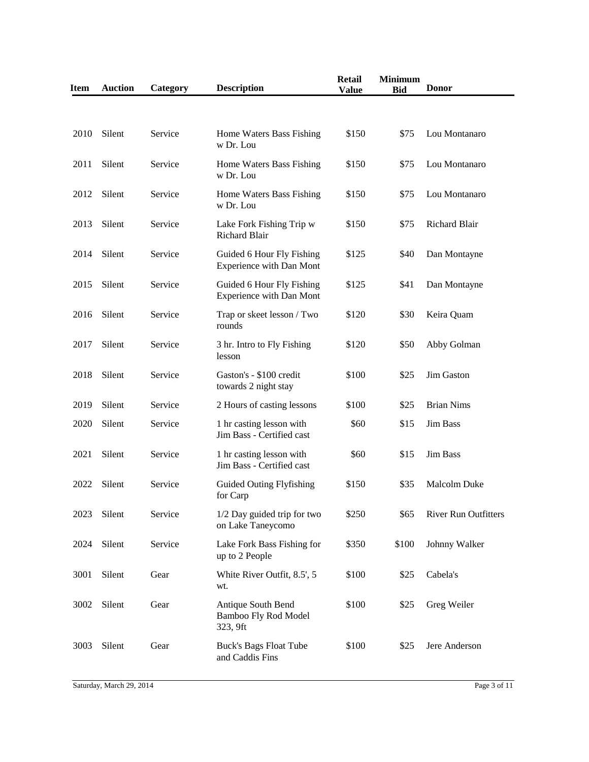| <b>Item</b> | <b>Auction</b> | Category | <b>Description</b>                                            | <b>Retail</b><br><b>Value</b> | <b>Minimum</b><br><b>Bid</b> | <b>Donor</b>         |
|-------------|----------------|----------|---------------------------------------------------------------|-------------------------------|------------------------------|----------------------|
|             |                |          |                                                               |                               |                              |                      |
| 2010        | Silent         | Service  | Home Waters Bass Fishing<br>w Dr. Lou                         | \$150                         | \$75                         | Lou Montanaro        |
| 2011        | Silent         | Service  | Home Waters Bass Fishing<br>w Dr. Lou                         | \$150                         | \$75                         | Lou Montanaro        |
| 2012        | Silent         | Service  | Home Waters Bass Fishing<br>w Dr. Lou                         | \$150                         | \$75                         | Lou Montanaro        |
| 2013        | Silent         | Service  | Lake Fork Fishing Trip w<br>Richard Blair                     | \$150                         | \$75                         | Richard Blair        |
| 2014        | Silent         | Service  | Guided 6 Hour Fly Fishing<br>Experience with Dan Mont         | \$125                         | \$40                         | Dan Montayne         |
| 2015        | Silent         | Service  | Guided 6 Hour Fly Fishing<br><b>Experience with Dan Mont</b>  | \$125                         | \$41                         | Dan Montayne         |
| 2016        | Silent         | Service  | Trap or skeet lesson / Two<br>rounds                          | \$120                         | \$30                         | Keira Quam           |
| 2017        | Silent         | Service  | 3 hr. Intro to Fly Fishing<br>lesson                          | \$120                         | \$50                         | Abby Golman          |
| 2018        | Silent         | Service  | Gaston's - \$100 credit<br>towards 2 night stay               | \$100                         | \$25                         | Jim Gaston           |
| 2019        | Silent         | Service  | 2 Hours of casting lessons                                    | \$100                         | \$25                         | <b>Brian Nims</b>    |
| 2020        | Silent         | Service  | 1 hr casting lesson with<br>Jim Bass - Certified cast         | \$60                          | \$15                         | <b>Jim Bass</b>      |
| 2021        | Silent         | Service  | 1 hr casting lesson with<br>Jim Bass - Certified cast         | \$60                          | \$15                         | <b>Jim Bass</b>      |
| 2022        | Silent         | Service  | <b>Guided Outing Flyfishing</b><br>for Carp                   | \$150                         | \$35                         | <b>Malcolm Duke</b>  |
| 2023        | Silent         | Service  | 1/2 Day guided trip for two<br>on Lake Taneycomo              | \$250                         | \$65                         | River Run Outfitters |
| 2024        | Silent         | Service  | Lake Fork Bass Fishing for<br>up to 2 People                  | \$350                         | \$100                        | Johnny Walker        |
| 3001        | Silent         | Gear     | White River Outfit, 8.5', 5<br>wt.                            | \$100                         | \$25                         | Cabela's             |
| 3002        | Silent         | Gear     | Antique South Bend<br><b>Bamboo Fly Rod Model</b><br>323, 9ft | \$100                         | \$25                         | Greg Weiler          |
| 3003        | Silent         | Gear     | <b>Buck's Bags Float Tube</b><br>and Caddis Fins              | \$100                         | \$25                         | Jere Anderson        |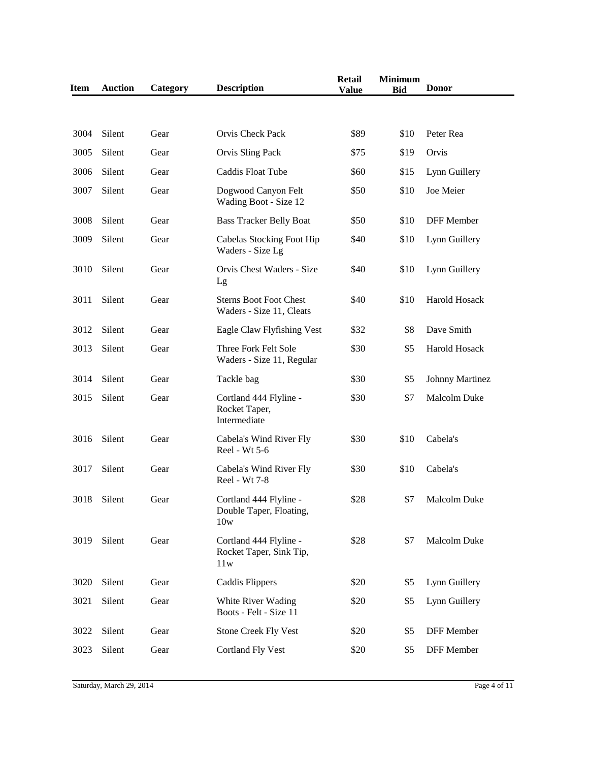| <b>Item</b> | <b>Auction</b> | Category | <b>Description</b>                                        | <b>Retail</b><br><b>Value</b> | <b>Minimum</b><br><b>Bid</b> | <b>Donor</b>           |
|-------------|----------------|----------|-----------------------------------------------------------|-------------------------------|------------------------------|------------------------|
|             |                |          |                                                           |                               |                              |                        |
| 3004        | Silent         | Gear     | Orvis Check Pack                                          | \$89                          | \$10                         | Peter Rea              |
| 3005        | Silent         | Gear     | Orvis Sling Pack                                          | \$75                          | \$19                         | Orvis                  |
| 3006        | Silent         | Gear     | Caddis Float Tube                                         | \$60                          | \$15                         | Lynn Guillery          |
| 3007        | Silent         | Gear     | Dogwood Canyon Felt<br>Wading Boot - Size 12              | \$50                          | \$10                         | Joe Meier              |
| 3008        | Silent         | Gear     | <b>Bass Tracker Belly Boat</b>                            | \$50                          | \$10                         | DFF Member             |
| 3009        | Silent         | Gear     | Cabelas Stocking Foot Hip<br>Waders - Size Lg             | \$40                          | \$10                         | Lynn Guillery          |
| 3010        | Silent         | Gear     | Orvis Chest Waders - Size<br>Lg                           | \$40                          | \$10                         | Lynn Guillery          |
| 3011        | Silent         | Gear     | <b>Sterns Boot Foot Chest</b><br>Waders - Size 11, Cleats | \$40                          | \$10                         | Harold Hosack          |
| 3012        | Silent         | Gear     | Eagle Claw Flyfishing Vest                                | \$32                          | \$8                          | Dave Smith             |
| 3013        | Silent         | Gear     | Three Fork Felt Sole<br>Waders - Size 11, Regular         | \$30                          | \$5                          | Harold Hosack          |
| 3014        | Silent         | Gear     | Tackle bag                                                | \$30                          | \$5                          | <b>Johnny Martinez</b> |
| 3015        | Silent         | Gear     | Cortland 444 Flyline -<br>Rocket Taper,<br>Intermediate   | \$30                          | \$7                          | Malcolm Duke           |
| 3016        | Silent         | Gear     | Cabela's Wind River Fly<br>Reel - Wt 5-6                  | \$30                          | \$10                         | Cabela's               |
| 3017        | Silent         | Gear     | Cabela's Wind River Fly<br>Reel - Wt 7-8                  | \$30                          | \$10                         | Cabela's               |
| 3018        | Silent         | Gear     | Cortland 444 Flyline -<br>Double Taper, Floating,<br>10w  | \$28                          | \$7                          | <b>Malcolm Duke</b>    |
| 3019        | Silent         | Gear     | Cortland 444 Flyline -<br>Rocket Taper, Sink Tip,<br>11w  | \$28                          | \$7                          | Malcolm Duke           |
| 3020        | Silent         | Gear     | <b>Caddis Flippers</b>                                    | \$20                          | \$5                          | Lynn Guillery          |
| 3021        | Silent         | Gear     | White River Wading<br>Boots - Felt - Size 11              | \$20                          | \$5                          | Lynn Guillery          |
| 3022        | Silent         | Gear     | <b>Stone Creek Fly Vest</b>                               | \$20                          | \$5                          | DFF Member             |
| 3023        | Silent         | Gear     | <b>Cortland Fly Vest</b>                                  | \$20                          | \$5                          | DFF Member             |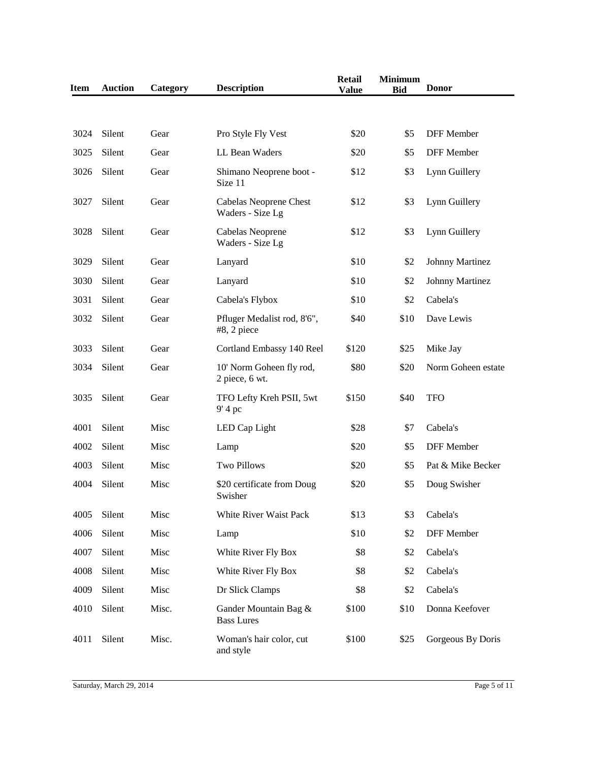| <b>Item</b> | <b>Auction</b> | Category | <b>Description</b>                         | <b>Retail</b><br><b>Value</b> | <b>Minimum</b><br><b>Bid</b> | <b>Donor</b>           |
|-------------|----------------|----------|--------------------------------------------|-------------------------------|------------------------------|------------------------|
|             |                |          |                                            |                               |                              |                        |
| 3024        | Silent         | Gear     | Pro Style Fly Vest                         | \$20                          | \$5                          | DFF Member             |
| 3025        | Silent         | Gear     | LL Bean Waders                             | \$20                          | \$5                          | DFF Member             |
| 3026        | Silent         | Gear     | Shimano Neoprene boot -<br>Size 11         | \$12                          | \$3                          | Lynn Guillery          |
| 3027        | Silent         | Gear     | Cabelas Neoprene Chest<br>Waders - Size Lg | \$12                          | \$3                          | Lynn Guillery          |
| 3028        | Silent         | Gear     | Cabelas Neoprene<br>Waders - Size Lg       | \$12                          | \$3                          | Lynn Guillery          |
| 3029        | Silent         | Gear     | Lanyard                                    | \$10                          | \$2                          | <b>Johnny Martinez</b> |
| 3030        | Silent         | Gear     | Lanyard                                    | \$10                          | \$2                          | <b>Johnny Martinez</b> |
| 3031        | Silent         | Gear     | Cabela's Flybox                            | \$10                          | \$2                          | Cabela's               |
| 3032        | Silent         | Gear     | Pfluger Medalist rod, 8'6",<br>#8, 2 piece | \$40                          | \$10                         | Dave Lewis             |
| 3033        | Silent         | Gear     | Cortland Embassy 140 Reel                  | \$120                         | \$25                         | Mike Jay               |
| 3034        | Silent         | Gear     | 10' Norm Goheen fly rod,<br>2 piece, 6 wt. | \$80                          | \$20                         | Norm Goheen estate     |
| 3035        | Silent         | Gear     | TFO Lefty Kreh PSII, 5wt<br>9' 4 pc        | \$150                         | \$40                         | <b>TFO</b>             |
| 4001        | Silent         | Misc     | LED Cap Light                              | \$28                          | \$7                          | Cabela's               |
| 4002        | Silent         | Misc     | Lamp                                       | \$20                          | \$5                          | DFF Member             |
| 4003        | Silent         | Misc     | <b>Two Pillows</b>                         | \$20                          | \$5                          | Pat & Mike Becker      |
| 4004        | Silent         | Misc     | \$20 certificate from Doug<br>Swisher      | \$20                          | \$5                          | Doug Swisher           |
| 4005        | Silent         | Misc     | White River Waist Pack                     | \$13                          | \$3                          | Cabela's               |
| 4006        | Silent         | Misc     | Lamp                                       | \$10                          | \$2                          | DFF Member             |
| 4007        | Silent         | Misc     | White River Fly Box                        | \$8                           | \$2                          | Cabela's               |
| 4008        | Silent         | Misc     | White River Fly Box                        | \$8                           | \$2                          | Cabela's               |
| 4009        | Silent         | Misc     | Dr Slick Clamps                            | \$8                           | \$2                          | Cabela's               |
| 4010        | Silent         | Misc.    | Gander Mountain Bag &<br><b>Bass Lures</b> | \$100                         | \$10                         | Donna Keefover         |
| 4011        | Silent         | Misc.    | Woman's hair color, cut<br>and style       | \$100                         | \$25                         | Gorgeous By Doris      |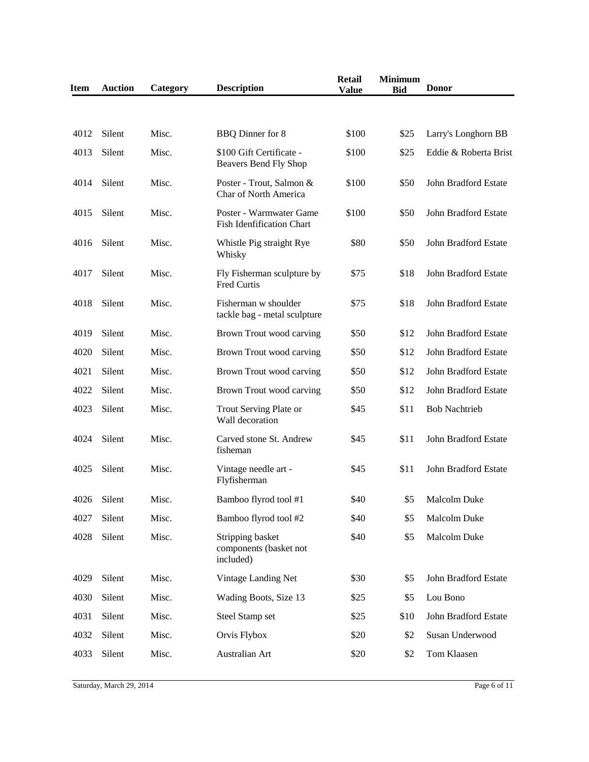| <b>Item</b> | <b>Auction</b> | Category | <b>Description</b>                                          | <b>Retail</b><br><b>Value</b> | <b>Minimum</b><br><b>Bid</b> | <b>Donor</b>          |
|-------------|----------------|----------|-------------------------------------------------------------|-------------------------------|------------------------------|-----------------------|
|             |                |          |                                                             |                               |                              |                       |
| 4012        | Silent         | Misc.    | BBQ Dinner for 8                                            | \$100                         | \$25                         | Larry's Longhorn BB   |
| 4013        | Silent         | Misc.    | \$100 Gift Certificate -<br>Beavers Bend Fly Shop           | \$100                         | \$25                         | Eddie & Roberta Brist |
| 4014        | Silent         | Misc.    | Poster - Trout, Salmon &<br>Char of North America           | \$100                         | \$50                         | John Bradford Estate  |
| 4015        | Silent         | Misc.    | Poster - Warmwater Game<br><b>Fish Idenfification Chart</b> | \$100                         | \$50                         | John Bradford Estate  |
| 4016        | Silent         | Misc.    | Whistle Pig straight Rye<br>Whisky                          | \$80                          | \$50                         | John Bradford Estate  |
| 4017        | Silent         | Misc.    | Fly Fisherman sculpture by<br>Fred Curtis                   | \$75                          | \$18                         | John Bradford Estate  |
| 4018        | Silent         | Misc.    | Fisherman w shoulder<br>tackle bag - metal sculpture        | \$75                          | \$18                         | John Bradford Estate  |
| 4019        | Silent         | Misc.    | Brown Trout wood carving                                    | \$50                          | \$12                         | John Bradford Estate  |
| 4020        | Silent         | Misc.    | Brown Trout wood carving                                    | \$50                          | \$12                         | John Bradford Estate  |
| 4021        | Silent         | Misc.    | Brown Trout wood carving                                    | \$50                          | \$12                         | John Bradford Estate  |
| 4022        | Silent         | Misc.    | Brown Trout wood carving                                    | \$50                          | \$12                         | John Bradford Estate  |
| 4023        | Silent         | Misc.    | Trout Serving Plate or<br>Wall decoration                   | \$45                          | \$11                         | <b>Bob Nachtrieb</b>  |
| 4024        | Silent         | Misc.    | Carved stone St. Andrew<br>fisheman                         | \$45                          | \$11                         | John Bradford Estate  |
| 4025        | Silent         | Misc.    | Vintage needle art -<br>Flyfisherman                        | \$45                          | \$11                         | John Bradford Estate  |
| 4026        | Silent         | Misc.    | Bamboo flyrod tool #1                                       | \$40                          | \$5                          | <b>Malcolm Duke</b>   |
| 4027        | Silent         | Misc.    | Bamboo flyrod tool #2                                       | \$40                          | \$5                          | Malcolm Duke          |
| 4028        | Silent         | Misc.    | Stripping basket<br>components (basket not<br>included)     | \$40                          | \$5                          | Malcolm Duke          |
| 4029        | Silent         | Misc.    | Vintage Landing Net                                         | \$30                          | \$5                          | John Bradford Estate  |
| 4030        | Silent         | Misc.    | Wading Boots, Size 13                                       | \$25                          | \$5                          | Lou Bono              |
| 4031        | Silent         | Misc.    | Steel Stamp set                                             | \$25                          | \$10                         | John Bradford Estate  |
| 4032        | Silent         | Misc.    | Orvis Flybox                                                | \$20                          | \$2                          | Susan Underwood       |
| 4033        | Silent         | Misc.    | Australian Art                                              | \$20                          | \$2                          | Tom Klaasen           |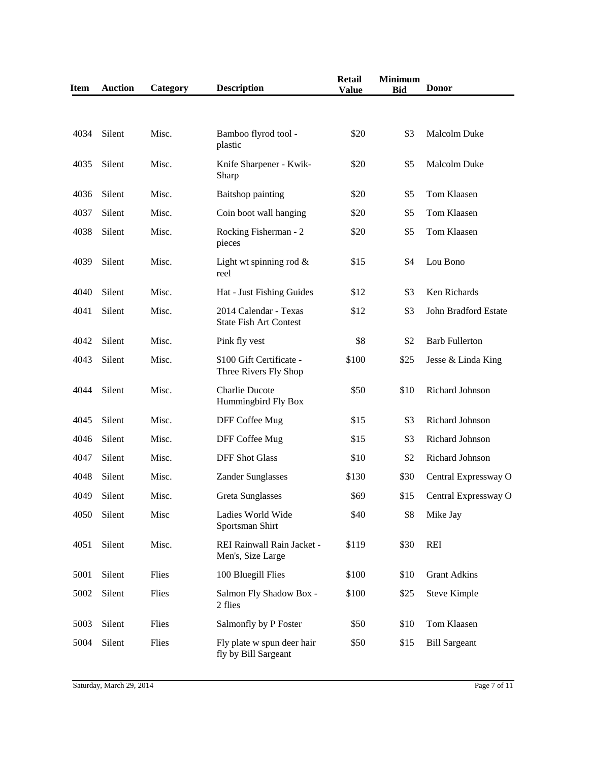| <b>Item</b> | <b>Auction</b> | Category | <b>Description</b>                                     | <b>Retail</b><br><b>Value</b> | <b>Minimum</b><br><b>Bid</b> | <b>Donor</b>          |
|-------------|----------------|----------|--------------------------------------------------------|-------------------------------|------------------------------|-----------------------|
|             |                |          |                                                        |                               |                              |                       |
| 4034        | Silent         | Misc.    | Bamboo flyrod tool -<br>plastic                        | \$20                          | \$3                          | Malcolm Duke          |
| 4035        | Silent         | Misc.    | Knife Sharpener - Kwik-<br>Sharp                       | \$20                          | \$5                          | <b>Malcolm Duke</b>   |
| 4036        | Silent         | Misc.    | Baitshop painting                                      | \$20                          | \$5                          | Tom Klaasen           |
| 4037        | Silent         | Misc.    | Coin boot wall hanging                                 | \$20                          | \$5                          | Tom Klaasen           |
| 4038        | Silent         | Misc.    | Rocking Fisherman - 2<br>pieces                        | \$20                          | \$5                          | Tom Klaasen           |
| 4039        | Silent         | Misc.    | Light wt spinning rod $\&$<br>reel                     | \$15                          | \$4                          | Lou Bono              |
| 4040        | Silent         | Misc.    | Hat - Just Fishing Guides                              | \$12                          | \$3                          | Ken Richards          |
| 4041        | Silent         | Misc.    | 2014 Calendar - Texas<br><b>State Fish Art Contest</b> | \$12                          | \$3                          | John Bradford Estate  |
| 4042        | Silent         | Misc.    | Pink fly vest                                          | \$8                           | \$2                          | <b>Barb Fullerton</b> |
| 4043        | Silent         | Misc.    | \$100 Gift Certificate -<br>Three Rivers Fly Shop      | \$100                         | \$25                         | Jesse & Linda King    |
| 4044        | Silent         | Misc.    | <b>Charlie Ducote</b><br>Hummingbird Fly Box           | \$50                          | \$10                         | Richard Johnson       |
| 4045        | Silent         | Misc.    | DFF Coffee Mug                                         | \$15                          | \$3                          | Richard Johnson       |
| 4046        | Silent         | Misc.    | DFF Coffee Mug                                         | \$15                          | \$3                          | Richard Johnson       |
| 4047        | Silent         | Misc.    | <b>DFF Shot Glass</b>                                  | \$10                          | \$2                          | Richard Johnson       |
| 4048        | Silent         | Misc.    | <b>Zander Sunglasses</b>                               | \$130                         | \$30                         | Central Expressway O  |
| 4049        | Silent         | Misc.    | Greta Sunglasses                                       | \$69                          | \$15                         | Central Expressway O  |
| 4050        | Silent         | Misc     | Ladies World Wide<br>Sportsman Shirt                   | \$40                          | \$8                          | Mike Jay              |
| 4051        | Silent         | Misc.    | REI Rainwall Rain Jacket -<br>Men's, Size Large        | \$119                         | \$30                         | <b>REI</b>            |
| 5001        | Silent         | Flies    | 100 Bluegill Flies                                     | \$100                         | \$10                         | <b>Grant Adkins</b>   |
| 5002        | Silent         | Flies    | Salmon Fly Shadow Box -<br>2 flies                     | \$100                         | \$25                         | <b>Steve Kimple</b>   |
| 5003        | Silent         | Flies    | Salmonfly by P Foster                                  | \$50                          | \$10                         | Tom Klaasen           |
| 5004        | Silent         | Flies    | Fly plate w spun deer hair<br>fly by Bill Sargeant     | \$50                          | \$15                         | <b>Bill Sargeant</b>  |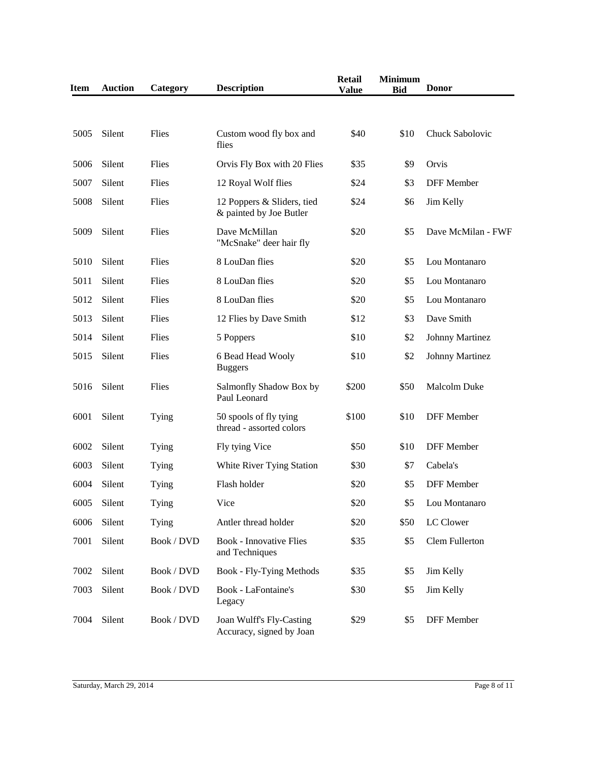| <b>Item</b> | <b>Auction</b> | Category   | <b>Description</b>                                    | <b>Retail</b><br><b>Value</b> | <b>Minimum</b><br><b>Bid</b> | <b>Donor</b>           |
|-------------|----------------|------------|-------------------------------------------------------|-------------------------------|------------------------------|------------------------|
|             |                |            |                                                       |                               |                              |                        |
| 5005        | Silent         | Flies      | Custom wood fly box and<br>flies                      | \$40                          | \$10                         | Chuck Sabolovic        |
| 5006        | Silent         | Flies      | Orvis Fly Box with 20 Flies                           | \$35                          | \$9                          | Orvis                  |
| 5007        | Silent         | Flies      | 12 Royal Wolf flies                                   | \$24                          | \$3                          | <b>DFF</b> Member      |
| 5008        | Silent         | Flies      | 12 Poppers & Sliders, tied<br>& painted by Joe Butler | \$24                          | \$6                          | Jim Kelly              |
| 5009        | Silent         | Flies      | Dave McMillan<br>"McSnake" deer hair fly              | \$20                          | \$5                          | Dave McMilan - FWF     |
| 5010        | Silent         | Flies      | 8 LouDan flies                                        | \$20                          | \$5                          | Lou Montanaro          |
| 5011        | Silent         | Flies      | 8 LouDan flies                                        | \$20                          | \$5                          | Lou Montanaro          |
| 5012        | Silent         | Flies      | 8 LouDan flies                                        | \$20                          | \$5                          | Lou Montanaro          |
| 5013        | Silent         | Flies      | 12 Flies by Dave Smith                                | \$12                          | \$3                          | Dave Smith             |
| 5014        | Silent         | Flies      | 5 Poppers                                             | \$10                          | \$2                          | <b>Johnny Martinez</b> |
| 5015        | Silent         | Flies      | 6 Bead Head Wooly<br><b>Buggers</b>                   | \$10                          | \$2                          | <b>Johnny Martinez</b> |
| 5016        | Silent         | Flies      | Salmonfly Shadow Box by<br>Paul Leonard               | \$200                         | \$50                         | Malcolm Duke           |
| 6001        | Silent         | Tying      | 50 spools of fly tying<br>thread - assorted colors    | \$100                         | \$10                         | <b>DFF</b> Member      |
| 6002        | Silent         | Tying      | Fly tying Vice                                        | \$50                          | \$10                         | <b>DFF</b> Member      |
| 6003        | Silent         | Tying      | White River Tying Station                             | \$30                          | \$7                          | Cabela's               |
| 6004        | Silent         | Tying      | Flash holder                                          | \$20                          | \$5                          | <b>DFF</b> Member      |
| 6005        | Silent         | Tying      | Vice                                                  | \$20                          | \$5                          | Lou Montanaro          |
| 6006        | Silent         | Tying      | Antler thread holder                                  | \$20                          | \$50                         | LC Clower              |
| 7001        | Silent         | Book / DVD | <b>Book - Innovative Flies</b><br>and Techniques      | \$35                          | \$5                          | Clem Fullerton         |
| 7002        | Silent         | Book / DVD | <b>Book - Fly-Tying Methods</b>                       | \$35                          | \$5                          | Jim Kelly              |
| 7003        | Silent         | Book / DVD | Book - LaFontaine's<br>Legacy                         | \$30                          | \$5                          | Jim Kelly              |
| 7004        | Silent         | Book / DVD | Joan Wulff's Fly-Casting<br>Accuracy, signed by Joan  | \$29                          | \$5                          | <b>DFF</b> Member      |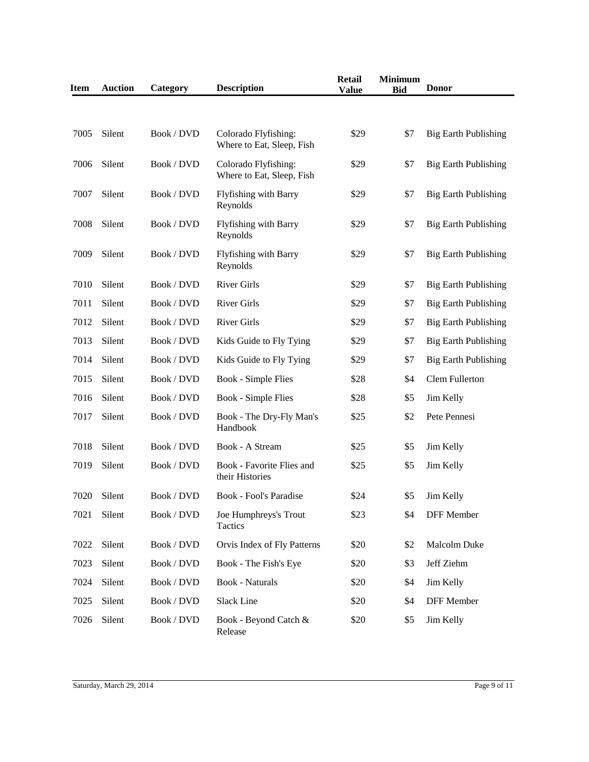| <b>Item</b> | <b>Auction</b> | Category   | <b>Description</b>                                | <b>Retail</b><br><b>Value</b> | <b>Minimum</b><br><b>Bid</b> | <b>Donor</b>                |
|-------------|----------------|------------|---------------------------------------------------|-------------------------------|------------------------------|-----------------------------|
|             |                |            |                                                   |                               |                              |                             |
| 7005        | Silent         | Book / DVD | Colorado Flyfishing:<br>Where to Eat, Sleep, Fish | \$29                          | \$7                          | <b>Big Earth Publishing</b> |
| 7006        | Silent         | Book / DVD | Colorado Flyfishing:<br>Where to Eat, Sleep, Fish | \$29                          | \$7                          | <b>Big Earth Publishing</b> |
| 7007        | Silent         | Book / DVD | <b>Flyfishing with Barry</b><br>Reynolds          | \$29                          | \$7                          | <b>Big Earth Publishing</b> |
| 7008        | Silent         | Book / DVD | Flyfishing with Barry<br>Reynolds                 | \$29                          | \$7                          | <b>Big Earth Publishing</b> |
| 7009        | Silent         | Book / DVD | Flyfishing with Barry<br>Reynolds                 | \$29                          | \$7                          | <b>Big Earth Publishing</b> |
| 7010        | Silent         | Book / DVD | <b>River Girls</b>                                | \$29                          | \$7                          | <b>Big Earth Publishing</b> |
| 7011        | Silent         | Book / DVD | <b>River Girls</b>                                | \$29                          | \$7                          | <b>Big Earth Publishing</b> |
| 7012        | Silent         | Book / DVD | <b>River Girls</b>                                | \$29                          | \$7                          | <b>Big Earth Publishing</b> |
| 7013        | Silent         | Book / DVD | Kids Guide to Fly Tying                           | \$29                          | \$7                          | <b>Big Earth Publishing</b> |
| 7014        | Silent         | Book / DVD | Kids Guide to Fly Tying                           | \$29                          | \$7                          | <b>Big Earth Publishing</b> |
| 7015        | Silent         | Book / DVD | <b>Book - Simple Flies</b>                        | \$28                          | \$4                          | <b>Clem Fullerton</b>       |
| 7016        | Silent         | Book / DVD | <b>Book - Simple Flies</b>                        | \$28                          | \$5                          | Jim Kelly                   |
| 7017        | Silent         | Book / DVD | Book - The Dry-Fly Man's<br>Handbook              | \$25                          | \$2                          | Pete Pennesi                |
| 7018        | Silent         | Book / DVD | Book - A Stream                                   | \$25                          | \$5                          | Jim Kelly                   |
| 7019        | Silent         | Book / DVD | Book - Favorite Flies and<br>their Histories      | \$25                          | \$5                          | Jim Kelly                   |
| 7020        | Silent         | Book / DVD | Book - Fool's Paradise                            | \$24                          | \$5                          | Jim Kelly                   |
| 7021        | Silent         | Book / DVD | Joe Humphreys's Trout<br>Tactics                  | \$23                          | \$4                          | DFF Member                  |
| 7022        | Silent         | Book / DVD | Orvis Index of Fly Patterns                       | \$20                          | \$2                          | Malcolm Duke                |
| 7023        | Silent         | Book / DVD | Book - The Fish's Eye                             | \$20                          | \$3                          | Jeff Ziehm                  |
| 7024        | Silent         | Book / DVD | <b>Book - Naturals</b>                            | \$20                          | \$4                          | Jim Kelly                   |
| 7025        | Silent         | Book / DVD | <b>Slack Line</b>                                 | \$20                          | \$4                          | DFF Member                  |
| 7026        | Silent         | Book / DVD | Book - Beyond Catch &<br>Release                  | \$20                          | \$5                          | Jim Kelly                   |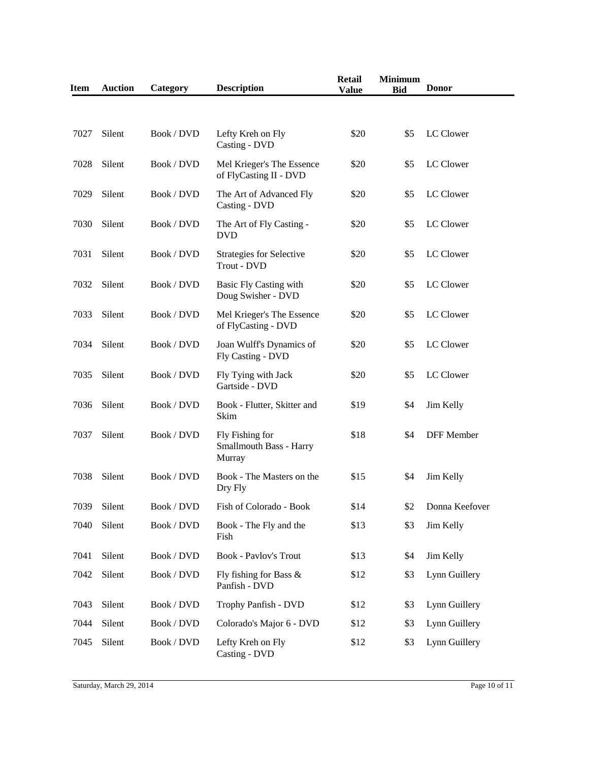| <b>Item</b> | <b>Auction</b> | Category   | <b>Description</b>                                   | <b>Retail</b><br><b>Value</b> | <b>Minimum</b><br><b>Bid</b> | <b>Donor</b>   |
|-------------|----------------|------------|------------------------------------------------------|-------------------------------|------------------------------|----------------|
|             |                |            |                                                      |                               |                              |                |
| 7027        | Silent         | Book / DVD | Lefty Kreh on Fly<br>Casting - DVD                   | \$20                          | \$5                          | LC Clower      |
| 7028        | Silent         | Book / DVD | Mel Krieger's The Essence<br>of FlyCasting II - DVD  | \$20                          | \$5                          | LC Clower      |
| 7029        | Silent         | Book / DVD | The Art of Advanced Fly<br>Casting - DVD             | \$20                          | \$5                          | LC Clower      |
| 7030        | Silent         | Book / DVD | The Art of Fly Casting -<br><b>DVD</b>               | \$20                          | \$5                          | LC Clower      |
| 7031        | Silent         | Book / DVD | <b>Strategies for Selective</b><br>Trout - DVD       | \$20                          | \$5                          | LC Clower      |
| 7032        | Silent         | Book / DVD | Basic Fly Casting with<br>Doug Swisher - DVD         | \$20                          | \$5                          | LC Clower      |
| 7033        | Silent         | Book / DVD | Mel Krieger's The Essence<br>of FlyCasting - DVD     | \$20                          | \$5                          | LC Clower      |
| 7034        | Silent         | Book / DVD | Joan Wulff's Dynamics of<br>Fly Casting - DVD        | \$20                          | \$5                          | LC Clower      |
| 7035        | Silent         | Book / DVD | Fly Tying with Jack<br>Gartside - DVD                | \$20                          | \$5                          | LC Clower      |
| 7036        | Silent         | Book / DVD | Book - Flutter, Skitter and<br>Skim                  | \$19                          | \$4                          | Jim Kelly      |
| 7037        | Silent         | Book / DVD | Fly Fishing for<br>Smallmouth Bass - Harry<br>Murray | \$18                          | \$4                          | DFF Member     |
| 7038        | Silent         | Book / DVD | Book - The Masters on the<br>Dry Fly                 | \$15                          | \$4                          | Jim Kelly      |
| 7039        | Silent         | Book / DVD | Fish of Colorado - Book                              | \$14                          | \$2                          | Donna Keefover |
| 7040        | Silent         | Book / DVD | Book - The Fly and the<br>Fish                       | \$13                          | \$3                          | Jim Kelly      |
| 7041        | Silent         | Book / DVD | <b>Book - Pavlov's Trout</b>                         | \$13                          | \$4                          | Jim Kelly      |
| 7042        | Silent         | Book / DVD | Fly fishing for Bass $\&$<br>Panfish - DVD           | \$12                          | \$3                          | Lynn Guillery  |
| 7043        | Silent         | Book / DVD | Trophy Panfish - DVD                                 | \$12                          | \$3                          | Lynn Guillery  |
| 7044        | Silent         | Book / DVD | Colorado's Major 6 - DVD                             | \$12                          | \$3                          | Lynn Guillery  |
| 7045        | Silent         | Book / DVD | Lefty Kreh on Fly<br>Casting - DVD                   | \$12                          | \$3                          | Lynn Guillery  |